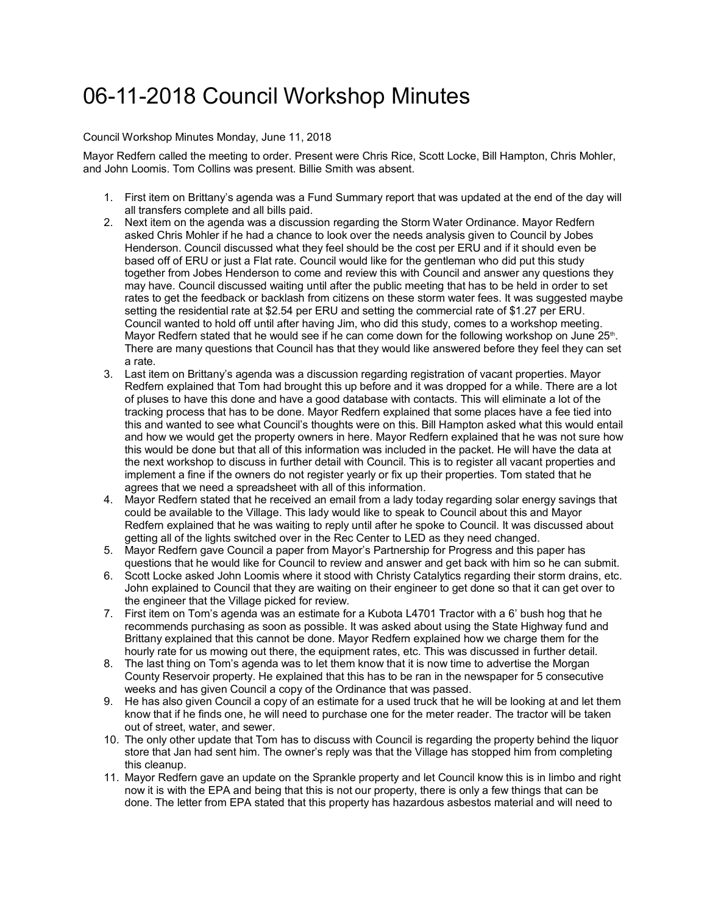## 06-11-2018 Council Workshop Minutes

## Council Workshop Minutes Monday, June 11, 2018

Mayor Redfern called the meeting to order. Present were Chris Rice, Scott Locke, Bill Hampton, Chris Mohler, and John Loomis. Tom Collins was present. Billie Smith was absent.

- 1. First item on Brittany's agenda was a Fund Summary report that was updated at the end of the day will all transfers complete and all bills paid.
- 2. Next item on the agenda was a discussion regarding the Storm Water Ordinance. Mayor Redfern asked Chris Mohler if he had a chance to look over the needs analysis given to Council by Jobes Henderson. Council discussed what they feel should be the cost per ERU and if it should even be based off of ERU or just a Flat rate. Council would like for the gentleman who did put this study together from Jobes Henderson to come and review this with Council and answer any questions they may have. Council discussed waiting until after the public meeting that has to be held in order to set rates to get the feedback or backlash from citizens on these storm water fees. It was suggested maybe setting the residential rate at \$2.54 per ERU and setting the commercial rate of \$1.27 per ERU. Council wanted to hold off until after having Jim, who did this study, comes to a workshop meeting. Mayor Redfern stated that he would see if he can come down for the following workshop on June  $25<sup>th</sup>$ . There are many questions that Council has that they would like answered before they feel they can set a rate.
- 3. Last item on Brittany's agenda was a discussion regarding registration of vacant properties. Mayor Redfern explained that Tom had brought this up before and it was dropped for a while. There are a lot of pluses to have this done and have a good database with contacts. This will eliminate a lot of the tracking process that has to be done. Mayor Redfern explained that some places have a fee tied into this and wanted to see what Council's thoughts were on this. Bill Hampton asked what this would entail and how we would get the property owners in here. Mayor Redfern explained that he was not sure how this would be done but that all of this information was included in the packet. He will have the data at the next workshop to discuss in further detail with Council. This is to register all vacant properties and implement a fine if the owners do not register yearly or fix up their properties. Tom stated that he agrees that we need a spreadsheet with all of this information.
- 4. Mayor Redfern stated that he received an email from a lady today regarding solar energy savings that could be available to the Village. This lady would like to speak to Council about this and Mayor Redfern explained that he was waiting to reply until after he spoke to Council. It was discussed about getting all of the lights switched over in the Rec Center to LED as they need changed.
- 5. Mayor Redfern gave Council a paper from Mayor's Partnership for Progress and this paper has questions that he would like for Council to review and answer and get back with him so he can submit.
- 6. Scott Locke asked John Loomis where it stood with Christy Catalytics regarding their storm drains, etc. John explained to Council that they are waiting on their engineer to get done so that it can get over to the engineer that the Village picked for review.
- 7. First item on Tom's agenda was an estimate for a Kubota L4701 Tractor with a 6' bush hog that he recommends purchasing as soon as possible. It was asked about using the State Highway fund and Brittany explained that this cannot be done. Mayor Redfern explained how we charge them for the hourly rate for us mowing out there, the equipment rates, etc. This was discussed in further detail.
- 8. The last thing on Tom's agenda was to let them know that it is now time to advertise the Morgan County Reservoir property. He explained that this has to be ran in the newspaper for 5 consecutive weeks and has given Council a copy of the Ordinance that was passed.
- 9. He has also given Council a copy of an estimate for a used truck that he will be looking at and let them know that if he finds one, he will need to purchase one for the meter reader. The tractor will be taken out of street, water, and sewer.
- 10. The only other update that Tom has to discuss with Council is regarding the property behind the liquor store that Jan had sent him. The owner's reply was that the Village has stopped him from completing this cleanup.
- 11. Mayor Redfern gave an update on the Sprankle property and let Council know this is in limbo and right now it is with the EPA and being that this is not our property, there is only a few things that can be done. The letter from EPA stated that this property has hazardous asbestos material and will need to